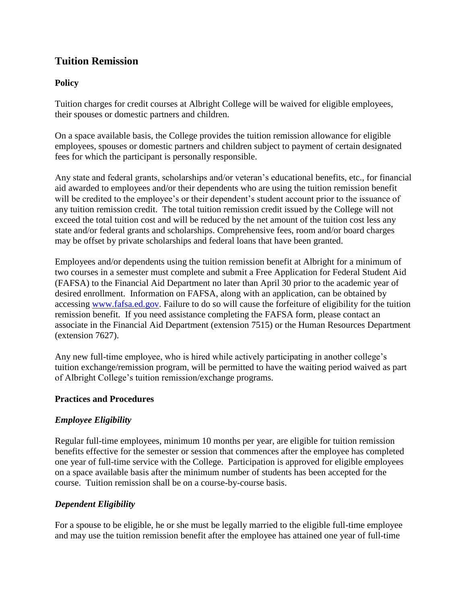## **Tuition Remission**

#### **Policy**

Tuition charges for credit courses at Albright College will be waived for eligible employees, their spouses or domestic partners and children.

On a space available basis, the College provides the tuition remission allowance for eligible employees, spouses or domestic partners and children subject to payment of certain designated fees for which the participant is personally responsible.

Any state and federal grants, scholarships and/or veteran's educational benefits, etc., for financial aid awarded to employees and/or their dependents who are using the tuition remission benefit will be credited to the employee's or their dependent's student account prior to the issuance of any tuition remission credit. The total tuition remission credit issued by the College will not exceed the total tuition cost and will be reduced by the net amount of the tuition cost less any state and/or federal grants and scholarships. Comprehensive fees, room and/or board charges may be offset by private scholarships and federal loans that have been granted.

Employees and/or dependents using the tuition remission benefit at Albright for a minimum of two courses in a semester must complete and submit a Free Application for Federal Student Aid (FAFSA) to the Financial Aid Department no later than April 30 prior to the academic year of desired enrollment. Information on FAFSA, along with an application, can be obtained by accessing [www.fafsa.ed.gov.](http://www.fafsa.ed.gov/) Failure to do so will cause the forfeiture of eligibility for the tuition remission benefit. If you need assistance completing the FAFSA form, please contact an associate in the Financial Aid Department (extension 7515) or the Human Resources Department (extension 7627).

Any new full-time employee, who is hired while actively participating in another college's tuition exchange/remission program, will be permitted to have the waiting period waived as part of Albright College's tuition remission/exchange programs.

#### **Practices and Procedures**

### *Employee Eligibility*

Regular full-time employees, minimum 10 months per year, are eligible for tuition remission benefits effective for the semester or session that commences after the employee has completed one year of full-time service with the College. Participation is approved for eligible employees on a space available basis after the minimum number of students has been accepted for the course. Tuition remission shall be on a course-by-course basis.

#### *Dependent Eligibility*

For a spouse to be eligible, he or she must be legally married to the eligible full-time employee and may use the tuition remission benefit after the employee has attained one year of full-time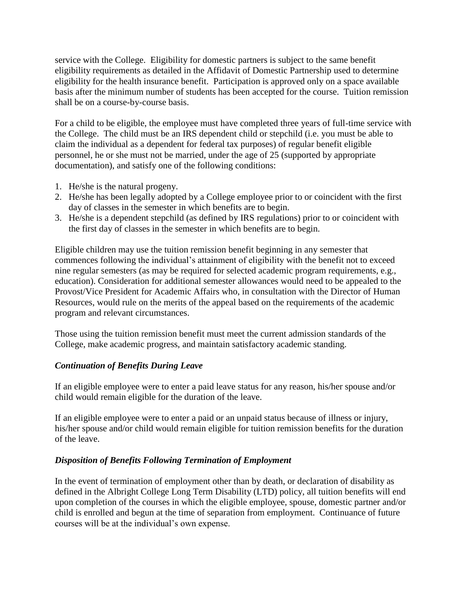service with the College. Eligibility for domestic partners is subject to the same benefit eligibility requirements as detailed in the Affidavit of Domestic Partnership used to determine eligibility for the health insurance benefit. Participation is approved only on a space available basis after the minimum number of students has been accepted for the course. Tuition remission shall be on a course-by-course basis.

For a child to be eligible, the employee must have completed three years of full-time service with the College. The child must be an IRS dependent child or stepchild (i.e. you must be able to claim the individual as a dependent for federal tax purposes) of regular benefit eligible personnel, he or she must not be married, under the age of 25 (supported by appropriate documentation), and satisfy one of the following conditions:

- 1. He/she is the natural progeny.
- 2. He/she has been legally adopted by a College employee prior to or coincident with the first day of classes in the semester in which benefits are to begin.
- 3. He/she is a dependent stepchild (as defined by IRS regulations) prior to or coincident with the first day of classes in the semester in which benefits are to begin.

Eligible children may use the tuition remission benefit beginning in any semester that commences following the individual's attainment of eligibility with the benefit not to exceed nine regular semesters (as may be required for selected academic program requirements, e.g., education). Consideration for additional semester allowances would need to be appealed to the Provost/Vice President for Academic Affairs who, in consultation with the Director of Human Resources, would rule on the merits of the appeal based on the requirements of the academic program and relevant circumstances.

Those using the tuition remission benefit must meet the current admission standards of the College, make academic progress, and maintain satisfactory academic standing.

### *Continuation of Benefits During Leave*

If an eligible employee were to enter a paid leave status for any reason, his/her spouse and/or child would remain eligible for the duration of the leave.

If an eligible employee were to enter a paid or an unpaid status because of illness or injury, his/her spouse and/or child would remain eligible for tuition remission benefits for the duration of the leave.

### *Disposition of Benefits Following Termination of Employment*

In the event of termination of employment other than by death, or declaration of disability as defined in the Albright College Long Term Disability (LTD) policy, all tuition benefits will end upon completion of the courses in which the eligible employee, spouse, domestic partner and/or child is enrolled and begun at the time of separation from employment. Continuance of future courses will be at the individual's own expense.